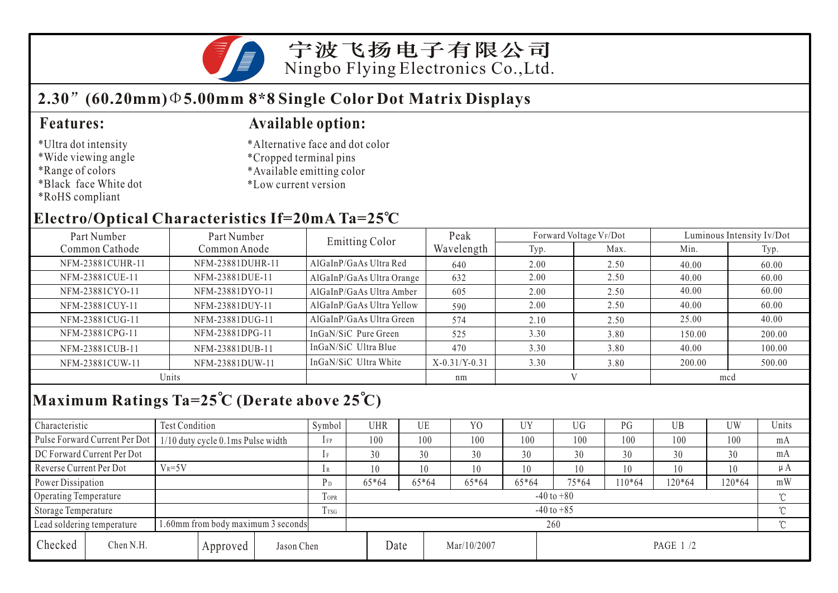宁波飞扬电子有限公司 Ningbo Flying Electronics Co.,Ltd.

## **2.30 (60.20mm) 5.00mm 8\*8 Single Color Dot Matrix Displays**

### \*Ultra dot intensity

- \*Wide viewing angle
- \*Range of colors
- \*Black face White dot
- \*RoHS compliant

### **Features: Available option:**

- \*Alternative face and dot color
- \*Cropped terminal pins
- \*Available emitting color
- \*Low current version

### **Electro/Optical Characteristics If=20mA Ta=25 C**

| Part Number<br>Part Number |                  | <b>Emitting Color</b>     | Peak            |      | Forward Voltage VF/Dot | Luminous Intensity Iv/Dot |        |  |
|----------------------------|------------------|---------------------------|-----------------|------|------------------------|---------------------------|--------|--|
| Common Cathode             | Common Anode     |                           | Wavelength      | Typ. | Max.                   | Min.                      | Typ.   |  |
| NFM-23881CUHR-11           | NFM-23881DUHR-11 | AlGaInP/GaAs Ultra Red    | 640             | 2.00 | 2.50                   | 40.00                     | 60.00  |  |
| NFM-23881CUE-11            | NFM-23881DUE-11  | AlGaInP/GaAs Ultra Orange | 632             | 2.00 | 2.50                   | 40.00                     | 60.00  |  |
| NFM-23881CYO-11            | NFM-23881DYO-11  | AlGaInP/GaAs Ultra Amber  | 605             | 2.00 | 2.50                   | 40.00                     | 60.00  |  |
| NFM-23881CUY-11            | NFM-23881DUY-11  | AlGaInP/GaAs Ultra Yellow | 590             | 2.00 | 2.50                   | 40.00                     | 60.00  |  |
| NFM-23881CUG-11            | NFM-23881DUG-11  | AlGaInP/GaAs Ultra Green  | 574             | 2.10 | 2.50                   | 25.00                     | 40.00  |  |
| NFM-23881CPG-11            | NFM-23881DPG-11  | InGaN/SiC Pure Green      | 525             | 3.30 | 3.80                   | 150.00                    | 200.00 |  |
| NFM-23881CUB-11            | NFM-23881DUB-11  | InGaN/SiC Ultra Blue      | 470             | 3.30 | 3.80                   | 40.00                     | 100.00 |  |
| NFM-23881CUW-11            | NFM-23881DUW-11  | InGaN/SiC Ultra White     | $X-0.31/Y-0.31$ | 3.30 | 3.80                   | 200.00                    | 500.00 |  |
| Units                      |                  |                           | nm              |      |                        | mcd                       |        |  |

# **Maximum Ratings Ta=25 C (Derate above 25 C)**

| Characteristic                                                  |                                       | Test Condition                    |                |                | Symbol | UHR            |       | UE    | Y <sub>0</sub> | UY      | UG       | PG     | UB       | <b>UW</b> | Units |
|-----------------------------------------------------------------|---------------------------------------|-----------------------------------|----------------|----------------|--------|----------------|-------|-------|----------------|---------|----------|--------|----------|-----------|-------|
|                                                                 | Pulse Forward Current Per Dot         | 1/10 duty cycle 0.1ms Pulse width |                |                | $1$ FP | 100            |       | 100   | 100            | 100     | 100      | 100    | 100      | 100       | mA    |
| DC Forward Current Per Dot                                      |                                       |                                   |                | 1F             | 30     |                | 30    | 30    | 30             | 30      | 30       | 30     | 30       | mA        |       |
|                                                                 | $V_R = 5V$<br>Reverse Current Per Dot |                                   |                | 1 R            | 10     |                | 10    | 10    | 10             | 10      | 10       | 10     | 10       | $\mu A$   |       |
| Power Dissipation                                               |                                       |                                   | P <sub>D</sub> | 65*64          |        | 65*64          | 65*64 | 65*64 | $75*64$        | $10*64$ | 120*64   | 120*64 | mW       |           |       |
| Operating Temperature                                           |                                       |                                   |                | TOPR           |        | $-40$ to $+80$ |       |       |                |         |          |        |          |           |       |
| Storage Temperature                                             |                                       |                                   | Trsg           | $-40$ to $+85$ |        |                |       |       |                |         |          |        | $\gamma$ |           |       |
| .60mm from body maximum 3 seconds<br>Lead soldering temperature |                                       |                                   |                | 260            |        |                |       |       |                |         |          |        |          |           |       |
| Checked                                                         | Chen N.H.                             |                                   | Approved       | Jason Chen     |        |                | Date  |       | Mar/10/2007    |         | PAGE 1/2 |        |          |           |       |